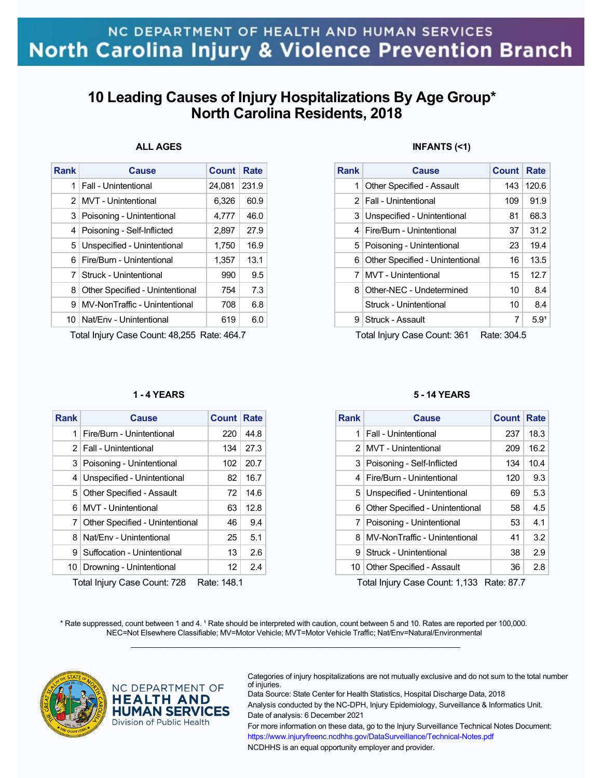### **10 Leading Causes of Injury Hospitalizations By Age Group\* North Carolina Residents, 2018**

### **ALL AGES**

| Rank          | Cause                           | <b>Count</b> | Rate  |
|---------------|---------------------------------|--------------|-------|
| 1             | Fall - Unintentional            | 24,081       | 231.9 |
| $\mathcal{P}$ | MVT - Unintentional             | 6,326        | 60.9  |
| 3             | Poisoning - Unintentional       | 4.777        | 46.0  |
| 4             | Poisoning - Self-Inflicted      | 2,897        | 27.9  |
| 5.            | Unspecified - Unintentional     | 1,750        | 16.9  |
| 6             | Fire/Burn - Unintentional       | 1,357        | 13.1  |
| 7             | Struck - Unintentional          | 990          | 9.5   |
| 8             | Other Specified - Unintentional | 754          | 7.3   |
| 9             | MV-NonTraffic - Unintentional   | 708          | 6.8   |
|               | 10   Nat/Env - Unintentional    | 619          | 6.0   |

Total Injury Case Count: 48,255 Rate: 464.7

### **1 - 4 YEARS**

| <b>Rank</b>                                             | <b>Cause</b>                     | Count | Rate |  |
|---------------------------------------------------------|----------------------------------|-------|------|--|
| 1                                                       | Fire/Burn - Unintentional        | 220   | 44.8 |  |
|                                                         | 2   Fall - Unintentional         | 134   | 27.3 |  |
|                                                         | 3 Poisoning - Unintentional      | 102   | 20.7 |  |
| 4                                                       | Unspecified - Unintentional      | 82    | 16.7 |  |
| 5                                                       | <b>Other Specified - Assault</b> | 72    | 14.6 |  |
| 61                                                      | MVT - Unintentional              | 63    | 12.8 |  |
| 71                                                      | Other Specified - Unintentional  | 46    | 9.4  |  |
| 8                                                       | Nat/Fny - Unintentional          | 25    | 5.1  |  |
| 9                                                       | Suffocation - Unintentional      | 13    | 2.6  |  |
| 10 <sup>1</sup>                                         | Drowning - Unintentional         | 12    | 2.4  |  |
| Total Injune Cooo Count: 700<br>D <sub>oto</sub> , 1101 |                                  |       |      |  |

Total Injury Case Count: 728 Rate: 148.1

### **INFANTS (<1)**

| Cause                            | <b>Count</b> | Rate             |
|----------------------------------|--------------|------------------|
| <b>Other Specified - Assault</b> | 143          | 120.6            |
| 2   Fall - Unintentional         | 109          | 91.9             |
| 3 Unspecified - Unintentional    | 81           | 68.3             |
| Fire/Burn - Unintentional        | 37           | 31.2             |
| 5   Poisoning - Unintentional    | 23           | 19.4             |
| Other Specified - Unintentional  | 16           | 13.5             |
| MVT - Unintentional              | 15           | 12.7             |
| Other-NEC - Undetermined         | 10           | 8.4              |
| Struck - Unintentional           | 10           | 8.4              |
| Struck - Assault                 | 7            | 5.9 <sup>1</sup> |
|                                  |              |                  |

Total Injury Case Count: 361 Rate: 304.5

#### **5 - 14 YEARS**

| Rank | Cause                           | Count | Rate |
|------|---------------------------------|-------|------|
| 1    | <b>Fall - Unintentional</b>     | 237   | 18.3 |
|      | 2 MVT - Unintentional           | 209   | 16.2 |
| 3    | Poisoning - Self-Inflicted      | 134   | 10.4 |
|      | 4   Fire/Burn - Unintentional   | 120   | 9.3  |
|      | 5   Unspecified - Unintentional | 69    | 5.3  |
| 6    | Other Specified - Unintentional | 58    | 4.5  |
| 7    | Poisoning - Unintentional       | 53    | 4.1  |
| 8    | MV-NonTraffic - Unintentional   | 41    | 3.2  |
| 9    | Struck - Unintentional          | 38    | 2.9  |
| 10   | Other Specified - Assault       | 36    | 2.8  |

Total Injury Case Count: 1,133 Rate: 87.7

\* Rate suppressed, count between 1 and 4. <sup>1</sup> Rate should be interpreted with caution, count between 5 and 10. Rates are reported per 100,000. NEC=Not Elsewhere Classifiable; MV=Motor Vehicle; MVT=Motor Vehicle Traffic; Nat/Env=Natural/Environmental  $\mathcal{L}_\mathcal{L} = \{ \mathcal{L}_\mathcal{L} = \{ \mathcal{L}_\mathcal{L} = \{ \mathcal{L}_\mathcal{L} = \{ \mathcal{L}_\mathcal{L} = \{ \mathcal{L}_\mathcal{L} = \{ \mathcal{L}_\mathcal{L} = \{ \mathcal{L}_\mathcal{L} = \{ \mathcal{L}_\mathcal{L} = \{ \mathcal{L}_\mathcal{L} = \{ \mathcal{L}_\mathcal{L} = \{ \mathcal{L}_\mathcal{L} = \{ \mathcal{L}_\mathcal{L} = \{ \mathcal{L}_\mathcal{L} = \{ \mathcal{L}_\mathcal{$ 



NC DEPARTMENT OF **HEALTH AND HUMAN SERVICES** Division of Public Health

Categories of injury hospitalizations are not mutually exclusive and do not sum to the total number of injuries.

Data Source: State Center for Health Statistics, Hospital Discharge Data, 2018 Analysis conducted by the NC-DPH, Injury Epidemiology, Surveillance & Informatics Unit. Date of analysis: 6 December 2021 For more information on these data, go to the Injury Surveillance Technical Notes Document: https://www.injuryfreenc.ncdhhs.gov/DataSurveillance/Technical-Notes.pdf

NCDHHS is an equal opportunity employer and provider.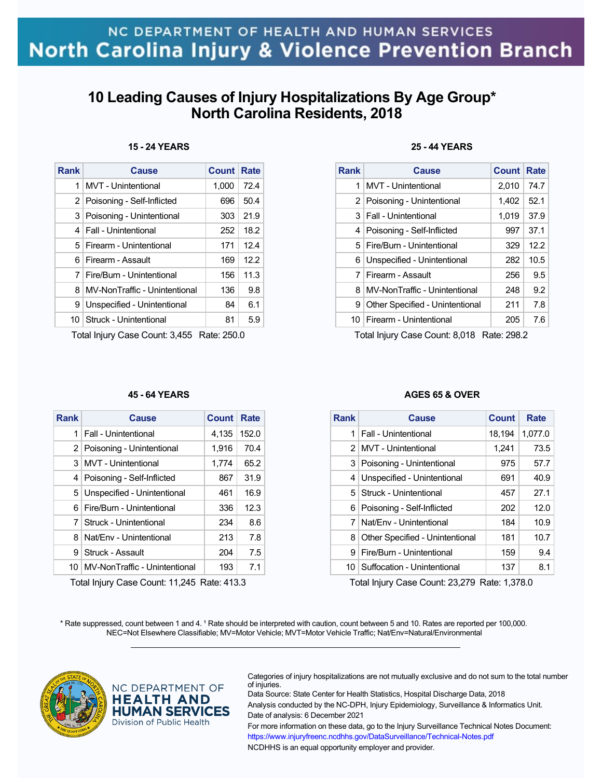### **10 Leading Causes of Injury Hospitalizations By Age Group\* North Carolina Residents, 2018**

| Rank | Cause                         | <b>Count Rate</b> |      |
|------|-------------------------------|-------------------|------|
| 1    | MVT - Unintentional           | 1,000             | 72.4 |
|      | 2 Poisoning - Self-Inflicted  | 696               | 50.4 |
|      | 3   Poisoning - Unintentional | 303               | 21.9 |
|      | 4   Fall - Unintentional      | 252               | 18.2 |
|      | 5   Firearm - Unintentional   | 171               | 12.4 |
| 6    | Firearm - Assault             | 169               | 12.2 |
|      | 7   Fire/Burn - Unintentional | 156               | 11.3 |
| 8    | MV-NonTraffic - Unintentional | 136               | 9.8  |
| 9    | Unspecified - Unintentional   | 84                | 6.1  |
|      | 10   Struck - Unintentional   | 81                | 5.9  |

Total Injury Case Count: 3,455 Rate: 250.0

#### **45 - 64 YEARS**

| <b>Rank</b> | Cause                           | Count | <b>Rate</b> |
|-------------|---------------------------------|-------|-------------|
| 1           | Fall - Unintentional            | 4,135 | 152.0       |
|             | 2 Poisoning - Unintentional     | 1,916 | 70.4        |
| 3           | MVT - Unintentional             | 1,774 | 65.2        |
| 4           | Poisoning - Self-Inflicted      | 867   | 31.9        |
|             | 5   Unspecified - Unintentional | 461   | 16.9        |
| 6           | Fire/Burn - Unintentional       | 336   | 12.3        |
| 7           | Struck - Unintentional          | 234   | 8.6         |
| 8           | Nat/Env - Unintentional         | 213   | 7.8         |
| 9           | Struck - Assault                | 204   | 7.5         |
| 10          | MV-NonTraffic - Unintentional   | 193   | 7.1         |

Total Injury Case Count: 11,245 Rate: 413.3

### **25 - 44 YEARS**

| Rank | Cause                           | <b>Count Rate</b> |      |
|------|---------------------------------|-------------------|------|
| 1    | <b>MVT</b> - Unintentional      | 2,010             | 74.7 |
|      | 2 Poisoning - Unintentional     | 1,402             | 52.1 |
|      | 3   Fall - Unintentional        | 1,019             | 37.9 |
|      | 4   Poisoning - Self-Inflicted  | 997               | 37.1 |
|      | 5   Fire/Burn - Unintentional   | 329               | 12.2 |
|      | 6 Unspecified - Unintentional   | 282               | 10.5 |
|      | 7 Firearm - Assault             | 256               | 9.5  |
| 8    | MV-NonTraffic - Unintentional   | 248               | 9.2  |
| 9    | Other Specified - Unintentional | 211               | 7.8  |
|      | 10 Firearm - Unintentional      | 205               | 7.6  |

Total Injury Case Count: 8,018 Rate: 298.2

### **AGES 65 & OVER**

| <b>Rank</b>   | Cause                           | <b>Count</b> | Rate    |
|---------------|---------------------------------|--------------|---------|
| 1             | Fall - Unintentional            | 18,194       | 1.077.0 |
| $\mathcal{P}$ | MVT - Unintentional             | 1,241        | 73.5    |
| 3             | Poisoning - Unintentional       | 975          | 57.7    |
| 4             | Unspecified - Unintentional     | 691          | 40.9    |
| 5.            | Struck - Unintentional          | 457          | 27.1    |
| 6             | Poisoning - Self-Inflicted      | 202          | 12.0    |
| 7             | Nat/Env - Unintentional         | 184          | 10.9    |
| 8             | Other Specified - Unintentional | 181          | 10.7    |
| 9             | Fire/Burn - Unintentional       | 159          | 9.4     |
| 10.           | Suffocation - Unintentional     | 137          | 8.1     |

Total Injury Case Count: 23,279 Rate: 1,378.0

\* Rate suppressed, count between 1 and 4. <sup>1</sup> Rate should be interpreted with caution, count between 5 and 10. Rates are reported per 100,000. NEC=Not Elsewhere Classifiable; MV=Motor Vehicle; MVT=Motor Vehicle Traffic; Nat/Env=Natural/Environmental  $\mathcal{L}_\mathcal{L} = \{ \mathcal{L}_\mathcal{L} = \{ \mathcal{L}_\mathcal{L} = \{ \mathcal{L}_\mathcal{L} = \{ \mathcal{L}_\mathcal{L} = \{ \mathcal{L}_\mathcal{L} = \{ \mathcal{L}_\mathcal{L} = \{ \mathcal{L}_\mathcal{L} = \{ \mathcal{L}_\mathcal{L} = \{ \mathcal{L}_\mathcal{L} = \{ \mathcal{L}_\mathcal{L} = \{ \mathcal{L}_\mathcal{L} = \{ \mathcal{L}_\mathcal{L} = \{ \mathcal{L}_\mathcal{L} = \{ \mathcal{L}_\mathcal{$ 



NC DEPARTMENT OF **HEALTH AND HUMAN SERVICES** Division of Public Health

Categories of injury hospitalizations are not mutually exclusive and do not sum to the total number of injuries.

Data Source: State Center for Health Statistics, Hospital Discharge Data, 2018 Analysis conducted by the NC-DPH, Injury Epidemiology, Surveillance & Informatics Unit. Date of analysis: 6 December 2021 For more information on these data, go to the Injury Surveillance Technical Notes Document: https://www.injuryfreenc.ncdhhs.gov/DataSurveillance/Technical-Notes.pdf

NCDHHS is an equal opportunity employer and provider.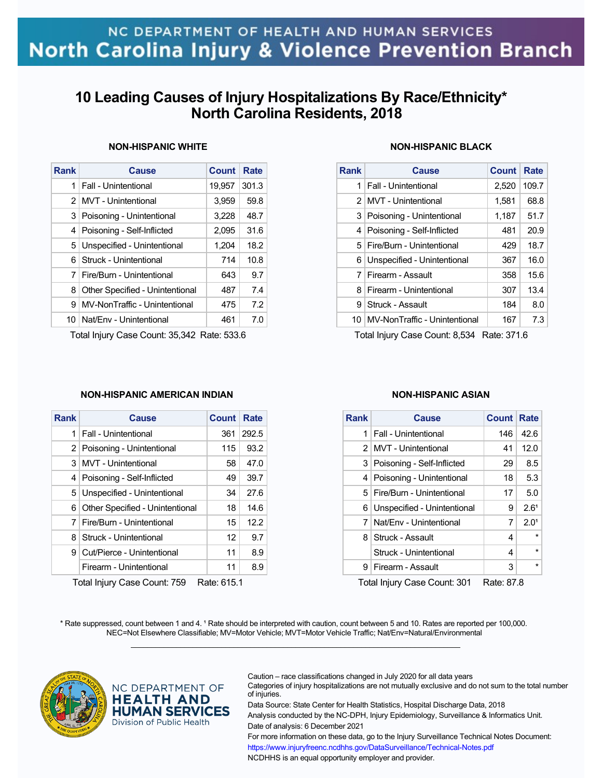## **10 Leading Causes of Injury Hospitalizations By Race/Ethnicity\* North Carolina Residents, 2018**

| Rank          | Cause                           | Count  | <b>Rate</b> |
|---------------|---------------------------------|--------|-------------|
| 1             | Fall - Unintentional            | 19,957 | 301.3       |
| $\mathcal{P}$ | MVT - Unintentional             | 3,959  | 59.8        |
| 3             | Poisoning - Unintentional       | 3,228  | 48.7        |
| 4             | Poisoning - Self-Inflicted      | 2,095  | 31.6        |
| 5             | Unspecified - Unintentional     | 1,204  | 18.2        |
| 6.            | Struck - Unintentional          | 714    | 10.8        |
| 7             | Fire/Burn - Unintentional       | 643    | 9.7         |
| 8             | Other Specified - Unintentional | 487    | 7.4         |
| 9             | MV-NonTraffic - Unintentional   | 475    | 7.2         |
| 10 l          | Nat/Env - Unintentional         | 461    | 7.0         |

### **NON-HISPANIC WHITE**

Total Injury Case Count: 35,342 Rate: 533.6

### **NON-HISPANIC BLACK**

| <b>Rank</b> | Cause                         | Count | Rate  |
|-------------|-------------------------------|-------|-------|
| 1           | Fall - Unintentional          | 2,520 | 109.7 |
|             | 2 MVT - Unintentional         | 1.581 | 68.8  |
| 3           | Poisoning - Unintentional     | 1,187 | 51.7  |
| 4           | Poisoning - Self-Inflicted    | 481   | 20.9  |
| 5           | Fire/Burn - Unintentional     | 429   | 18.7  |
| 6           | Unspecified - Unintentional   | 367   | 16.0  |
| 7           | Firearm - Assault             | 358   | 15.6  |
| 8           | Firearm - Unintentional       | 307   | 13.4  |
| 9           | Struck - Assault              | 184   | 8.0   |
| 10          | MV-NonTraffic - Unintentional | 167   | 7.3   |

Total Injury Case Count: 8,534 Rate: 371.6

### **NON-HISPANIC AMERICAN INDIAN**

| <b>Rank</b>    | Cause                           | <b>Count</b> | Rate  |  |
|----------------|---------------------------------|--------------|-------|--|
| 1              | Fall - Unintentional            | 361          | 292.5 |  |
| $\overline{2}$ | Poisoning - Unintentional       | 115          | 93.2  |  |
| 3              | <b>MVT</b> - Unintentional      | 58           | 47.0  |  |
| 4              | Poisoning - Self-Inflicted      | 49           | 39.7  |  |
| 5              | Unspecified - Unintentional     | 34           | 27.6  |  |
| 6.             | Other Specified - Unintentional | 18           | 14.6  |  |
| 7              | Fire/Burn - Unintentional       | 15           | 12.2  |  |
| 8              | Struck - Unintentional          | 12           | 9.7   |  |
| 9              | Cut/Pierce - Unintentional      | 11           | 8.9   |  |
|                | Firearm - Unintentional         | 11           | 8.9   |  |
|                |                                 |              |       |  |

Total Injury Case Count: 759 Rate: 615.1

### **NON-HISPANIC ASIAN**

| <b>Rank</b>       | <b>Cause</b>                   | <b>Count Rate</b> |                  |
|-------------------|--------------------------------|-------------------|------------------|
| 1                 | Fall - Unintentional           | 146               | 42.6             |
|                   | 2   MVT - Unintentional        | 41                | 12.0             |
|                   | 3   Poisoning - Self-Inflicted | 29                | 8.5              |
| 4                 | Poisoning - Unintentional      | 18                | 5.3              |
|                   | 5   Fire/Burn - Unintentional  | 17                | 5.0              |
|                   | 6 Unspecified - Unintentional  | 9                 | 2.6 <sup>1</sup> |
|                   | 7 Nat/Env - Unintentional      | 7                 | 2.0 <sup>1</sup> |
|                   | 8 Struck - Assault             | 4                 | $\star$          |
|                   | Struck - Unintentional         | 4                 | $\star$          |
| 9                 | Firearm - Assault              | 3                 | $\star$          |
| <b>D</b> - 1<br>ົ |                                |                   |                  |

Total Injury Case Count: 301 Rate: 87.8

\* Rate suppressed, count between 1 and 4. <sup>1</sup> Rate should be interpreted with caution, count between 5 and 10. Rates are reported per 100,000. NEC=Not Elsewhere Classifiable; MV=Motor Vehicle; MVT=Motor Vehicle Traffic; Nat/Env=Natural/Environmental  $\mathcal{L}_\mathcal{L} = \{ \mathcal{L}_\mathcal{L} = \{ \mathcal{L}_\mathcal{L} = \{ \mathcal{L}_\mathcal{L} = \{ \mathcal{L}_\mathcal{L} = \{ \mathcal{L}_\mathcal{L} = \{ \mathcal{L}_\mathcal{L} = \{ \mathcal{L}_\mathcal{L} = \{ \mathcal{L}_\mathcal{L} = \{ \mathcal{L}_\mathcal{L} = \{ \mathcal{L}_\mathcal{L} = \{ \mathcal{L}_\mathcal{L} = \{ \mathcal{L}_\mathcal{L} = \{ \mathcal{L}_\mathcal{L} = \{ \mathcal{L}_\mathcal{$ 



### NC DEPARTMENT OF **HEALTH AND HUMAN SERVICES** Division of Public Health

Caution – race classifications changed in July 2020 for all data years

Categories of injury hospitalizations are not mutually exclusive and do not sum to the total number of injuries.

Data Source: State Center for Health Statistics, Hospital Discharge Data, 2018 Analysis conducted by the NC-DPH, Injury Epidemiology, Surveillance & Informatics Unit. Date of analysis: 6 December 2021

For more information on these data, go to the Injury Surveillance Technical Notes Document: https://www.injuryfreenc.ncdhhs.gov/DataSurveillance/Technical-Notes.pdf NCDHHS is an equal opportunity employer and provider.